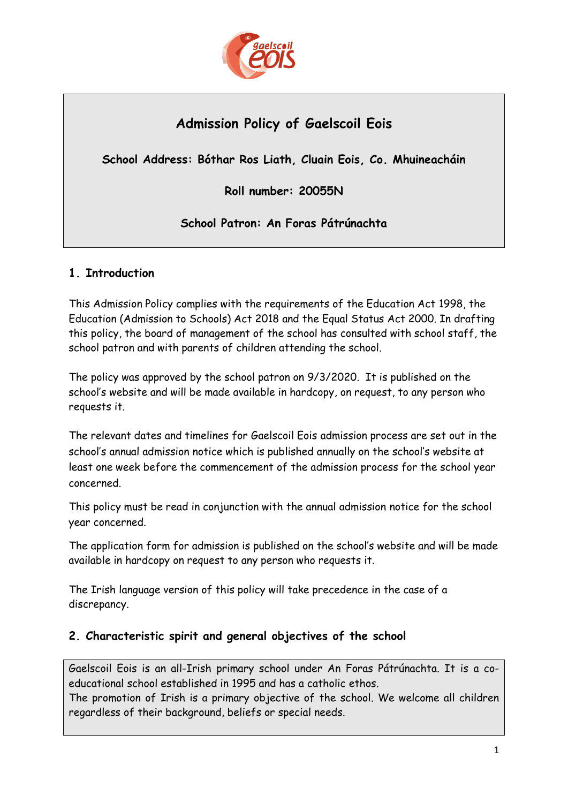

# **Admission Policy of Gaelscoil Eois**

**School Address: Bóthar Ros Liath, Cluain Eois, Co. Mhuineacháin**

**Roll number: 20055N**

**School Patron: An Foras Pátrúnachta**

# **1. Introduction**

This Admission Policy complies with the requirements of the Education Act 1998, the Education (Admission to Schools) Act 2018 and the Equal Status Act 2000. In drafting this policy, the board of management of the school has consulted with school staff, the school patron and with parents of children attending the school.

The policy was approved by the school patron on 9/3/2020. It is published on the school's website and will be made available in hardcopy, on request, to any person who requests it.

The relevant dates and timelines for Gaelscoil Eois admission process are set out in the school's annual admission notice which is published annually on the school's website at least one week before the commencement of the admission process for the school year concerned.

This policy must be read in conjunction with the annual admission notice for the school year concerned.

The application form for admission is published on the school's website and will be made available in hardcopy on request to any person who requests it.

The Irish language version of this policy will take precedence in the case of a discrepancy.

# **2. Characteristic spirit and general objectives of the school**

Gaelscoil Eois is an all-Irish primary school under An Foras Pátrúnachta. It is a coeducational school established in 1995 and has a catholic ethos.

The promotion of Irish is a primary objective of the school. We welcome all children regardless of their background, beliefs or special needs.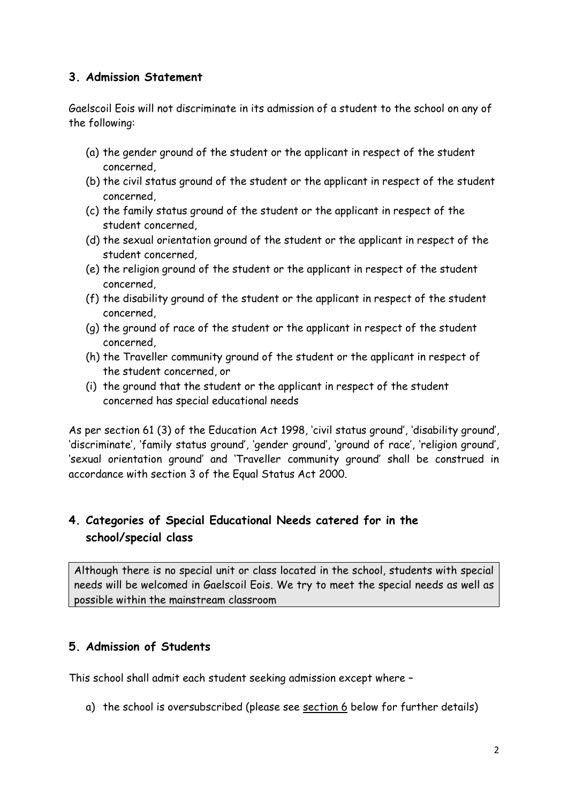#### **3. Admission Statement**

Gaelscoil Eois will not discriminate in its admission of a student to the school on any of the following:

- (a) the gender ground of the student or the applicant in respect of the student concerned,
- (b) the civil status ground of the student or the applicant in respect of the student concerned,
- (c) the family status ground of the student or the applicant in respect of the student concerned,
- (d) the sexual orientation ground of the student or the applicant in respect of the student concerned,
- (e) the religion ground of the student or the applicant in respect of the student concerned,
- (f) the disability ground of the student or the applicant in respect of the student concerned,
- (g) the ground of race of the student or the applicant in respect of the student concerned,
- (h) the Traveller community ground of the student or the applicant in respect of the student concerned, or
- (i) the ground that the student or the applicant in respect of the student concerned has special educational needs

As per section 61 (3) of the Education Act 1998, 'civil status ground', 'disability ground', 'discriminate', 'family status ground', 'gender ground', 'ground of race', 'religion ground', 'sexual orientation ground' and 'Traveller community ground' shall be construed in accordance with section 3 of the Equal Status Act 2000.

# **4. Categories of Special Educational Needs catered for in the school/special class**

Although there is no special unit or class located in the school, students with special needs will be welcomed in Gaelscoil Eois. We try to meet the special needs as well as possible within the mainstream classroom

# **5. Admission of Students**

This school shall admit each student seeking admission except where –

a) the school is oversubscribed (please see [section 6](#page-2-0) below for further details)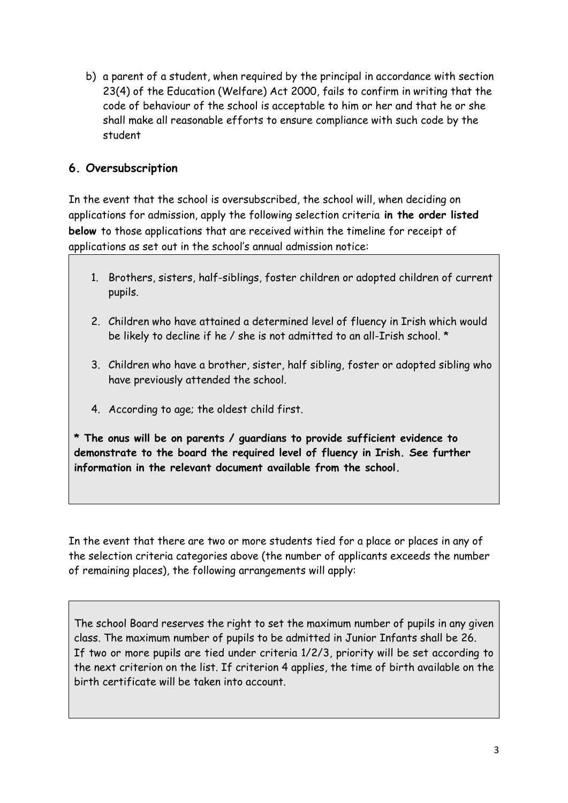b) a parent of a student, when required by the principal in accordance with section 23(4) of the Education (Welfare) Act 2000, fails to confirm in writing that the code of behaviour of the school is acceptable to him or her and that he or she shall make all reasonable efforts to ensure compliance with such code by the student

# <span id="page-2-0"></span>**6. Oversubscription**

In the event that the school is oversubscribed, the school will, when deciding on applications for admission, apply the following selection criteria **in the order listed below** to those applications that are received within the timeline for receipt of applications as set out in the school's annual admission notice:

- 1. Brothers, sisters, half-siblings, foster children or adopted children of current pupils.
- 2. Children who have attained a determined level of fluency in Irish which would be likely to decline if he / she is not admitted to an all-Irish school. \*
- 3. Children who have a brother, sister, half sibling, foster or adopted sibling who have previously attended the school.
- 4. According to age; the oldest child first.

**\* The onus will be on parents / guardians to provide sufficient evidence to demonstrate to the board the required level of fluency in Irish. See further information in the relevant document available from the school.**

In the event that there are two or more students tied for a place or places in any of the selection criteria categories above (the number of applicants exceeds the number of remaining places), the following arrangements will apply:

The school Board reserves the right to set the maximum number of pupils in any given class. The maximum number of pupils to be admitted in Junior Infants shall be 26. If two or more pupils are tied under criteria 1/2/3, priority will be set according to the next criterion on the list. If criterion 4 applies, the time of birth available on the birth certificate will be taken into account.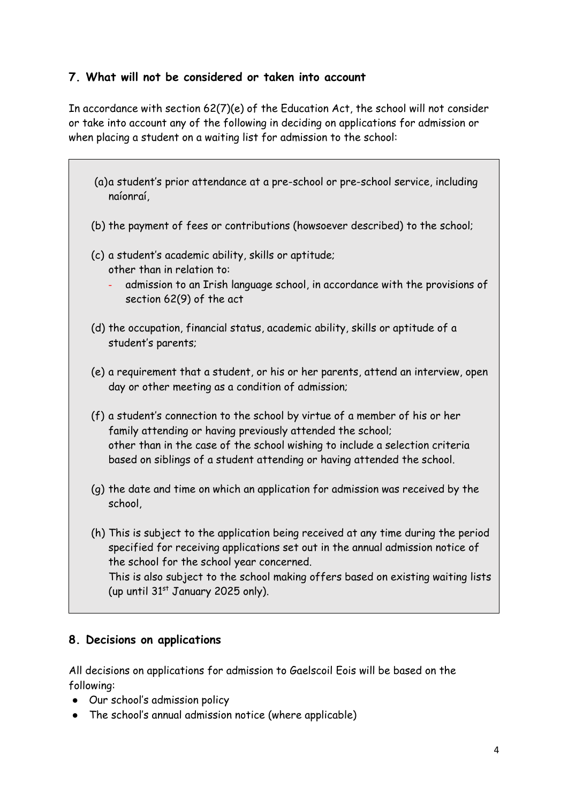### **7. What will not be considered or taken into account**

In accordance with section 62(7)(e) of the Education Act, the school will not consider or take into account any of the following in deciding on applications for admission or when placing a student on a waiting list for admission to the school:

- (a)a student's prior attendance at a pre-school or pre-school service, including naíonraí,
- (b) the payment of fees or contributions (howsoever described) to the school;
- (c) a student's academic ability, skills or aptitude; other than in relation to:
	- admission to an Irish language school, in accordance with the provisions of section 62(9) of the act
- (d) the occupation, financial status, academic ability, skills or aptitude of a student's parents;
- (e) a requirement that a student, or his or her parents, attend an interview, open day or other meeting as a condition of admission;
- (f) a student's connection to the school by virtue of a member of his or her family attending or having previously attended the school; other than in the case of the school wishing to include a selection criteria based on siblings of a student attending or having attended the school.
- (g) the date and time on which an application for admission was received by the school,
- (h) This is subject to the application being received at any time during the period specified for receiving applications set out in the annual admission notice of the school for the school year concerned. This is also subject to the school making offers based on existing waiting lists (up until  $31<sup>st</sup>$  January 2025 only).

# **8. Decisions on applications**

All decisions on applications for admission to Gaelscoil Eois will be based on the following:

- Our school's admission policy
- The school's annual admission notice (where applicable)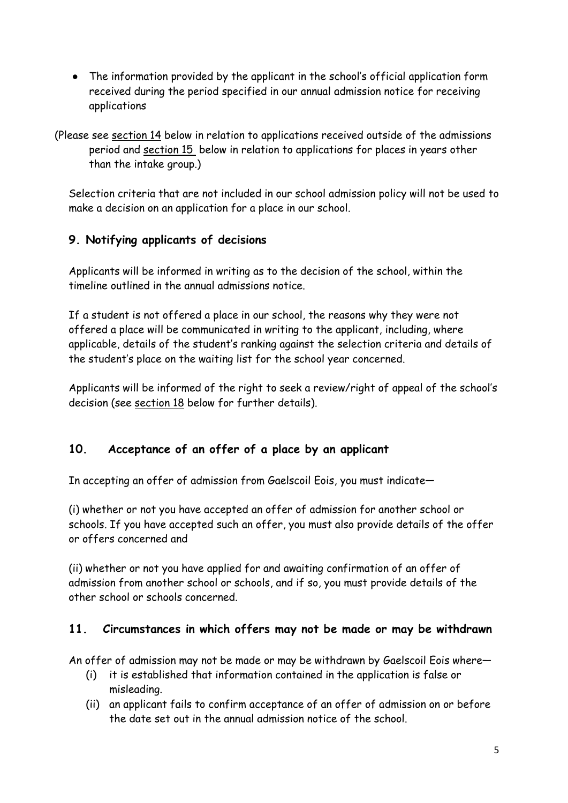● The information provided by the applicant in the school's official application form received during the period specified in our annual admission notice for receiving applications

(Please see [section 14](#page-6-0) below in relation to applications received outside of the admissions period and [section 15](#page-6-1) below in relation to applications for places in years other than the intake group.)

Selection criteria that are not included in our school admission policy will not be used to make a decision on an application for a place in our school.

# **9. Notifying applicants of decisions**

Applicants will be informed in writing as to the decision of the school, within the timeline outlined in the annual admissions notice.

If a student is not offered a place in our school, the reasons why they were not offered a place will be communicated in writing to the applicant, including, where applicable, details of the student's ranking against the selection criteria and details of the student's place on the waiting list for the school year concerned.

Applicants will be informed of the right to seek a review/right of appeal of the school's decision (see [section 18](#page-8-0) below for further details).

# <span id="page-4-0"></span>**10. Acceptance of an offer of a place by an applicant**

In accepting an offer of admission from Gaelscoil Eois, you must indicate—

(i) whether or not you have accepted an offer of admission for another school or schools. If you have accepted such an offer, you must also provide details of the offer or offers concerned and

(ii) whether or not you have applied for and awaiting confirmation of an offer of admission from another school or schools, and if so, you must provide details of the other school or schools concerned.

# **11. Circumstances in which offers may not be made or may be withdrawn**

An offer of admission may not be made or may be withdrawn by Gaelscoil Eois where—

- (i) it is established that information contained in the application is false or misleading.
- (ii) an applicant fails to confirm acceptance of an offer of admission on or before the date set out in the annual admission notice of the school.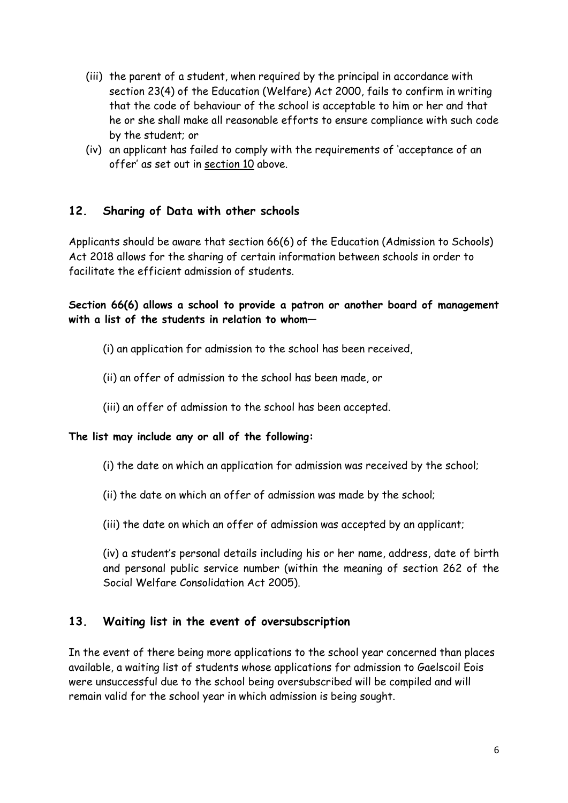- (iii) the parent of a student, when required by the principal in accordance with section 23(4) of the Education (Welfare) Act 2000, fails to confirm in writing that the code of behaviour of the school is acceptable to him or her and that he or she shall make all reasonable efforts to ensure compliance with such code by the student; or
- (iv) an applicant has failed to comply with the requirements of 'acceptance of an offer' as set out in [section 10](#page-4-0) above.

### **12. Sharing of Data with other schools**

Applicants should be aware that section 66(6) of the Education (Admission to Schools) Act 2018 allows for the sharing of certain information between schools in order to facilitate the efficient admission of students.

**Section 66(6) allows a school to provide a patron or another board of management with a list of the students in relation to whom—**

- (i) an application for admission to the school has been received,
- (ii) an offer of admission to the school has been made, or
- (iii) an offer of admission to the school has been accepted.

#### **The list may include any or all of the following:**

- (i) the date on which an application for admission was received by the school;
- (ii) the date on which an offer of admission was made by the school;
- (iii) the date on which an offer of admission was accepted by an applicant;

(iv) a student's personal details including his or her name, address, date of birth and personal public service number (within the meaning of section 262 of the Social Welfare Consolidation Act 2005).

#### **13. Waiting list in the event of oversubscription**

In the event of there being more applications to the school year concerned than places available, a waiting list of students whose applications for admission to Gaelscoil Eois were unsuccessful due to the school being oversubscribed will be compiled and will remain valid for the school year in which admission is being sought.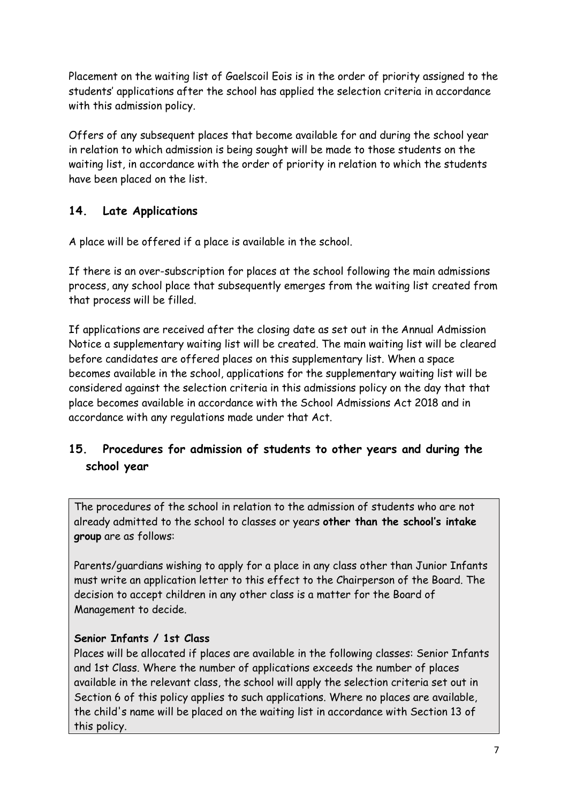Placement on the waiting list of Gaelscoil Eois is in the order of priority assigned to the students' applications after the school has applied the selection criteria in accordance with this admission policy.

Offers of any subsequent places that become available for and during the school year in relation to which admission is being sought will be made to those students on the waiting list, in accordance with the order of priority in relation to which the students have been placed on the list.

# <span id="page-6-0"></span>**14. Late Applications**

A place will be offered if a place is available in the school.

If there is an over-subscription for places at the school following the main admissions process, any school place that subsequently emerges from the waiting list created from that process will be filled.

If applications are received after the closing date as set out in the Annual Admission Notice a supplementary waiting list will be created. The main waiting list will be cleared before candidates are offered places on this supplementary list. When a space becomes available in the school, applications for the supplementary waiting list will be considered against the selection criteria in this admissions policy on the day that that place becomes available in accordance with the School Admissions Act 2018 and in accordance with any regulations made under that Act.

# <span id="page-6-1"></span>**15. Procedures for admission of students to other years and during the school year**

The procedures of the school in relation to the admission of students who are not already admitted to the school to classes or years **other than the school's intake group** are as follows:

Parents/guardians wishing to apply for a place in any class other than Junior Infants must write an application letter to this effect to the Chairperson of the Board. The decision to accept children in any other class is a matter for the Board of Management to decide.

# **Senior Infants / 1st Class**

Places will be allocated if places are available in the following classes: Senior Infants and 1st Class. Where the number of applications exceeds the number of places available in the relevant class, the school will apply the selection criteria set out in Section 6 of this policy applies to such applications. Where no places are available, the child's name will be placed on the waiting list in accordance with Section 13 of this policy.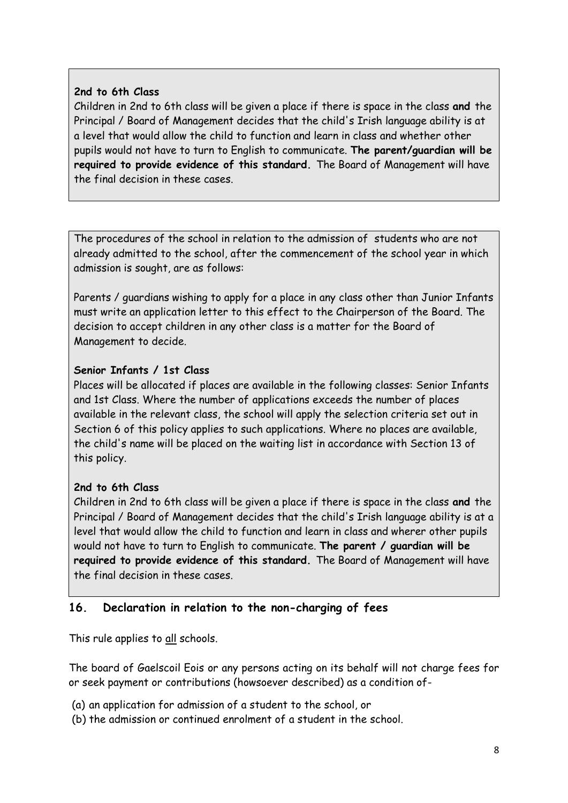#### **2nd to 6th Class**

Children in 2nd to 6th class will be given a place if there is space in the class **and** the Principal / Board of Management decides that the child's Irish language ability is at a level that would allow the child to function and learn in class and whether other pupils would not have to turn to English to communicate. **The parent/guardian will be required to provide evidence of this standard.** The Board of Management will have the final decision in these cases.

The procedures of the school in relation to the admission of students who are not already admitted to the school, after the commencement of the school year in which admission is sought, are as follows:

Parents / guardians wishing to apply for a place in any class other than Junior Infants must write an application letter to this effect to the Chairperson of the Board. The decision to accept children in any other class is a matter for the Board of Management to decide.

### **Senior Infants / 1st Class**

Places will be allocated if places are available in the following classes: Senior Infants and 1st Class. Where the number of applications exceeds the number of places available in the relevant class, the school will apply the selection criteria set out in Section 6 of this policy applies to such applications. Where no places are available, the child's name will be placed on the waiting list in accordance with Section 13 of this policy.

#### **2nd to 6th Class**

Children in 2nd to 6th class will be given a place if there is space in the class **and** the Principal / Board of Management decides that the child's Irish language ability is at a level that would allow the child to function and learn in class and wherer other pupils would not have to turn to English to communicate. **The parent / guardian will be required to provide evidence of this standard.** The Board of Management will have the final decision in these cases.

# **16. Declaration in relation to the non-charging of fees**

This rule applies to all schools.

The board of Gaelscoil Eois or any persons acting on its behalf will not charge fees for or seek payment or contributions (howsoever described) as a condition of-

- (a) an application for admission of a student to the school, or
- (b) the admission or continued enrolment of a student in the school.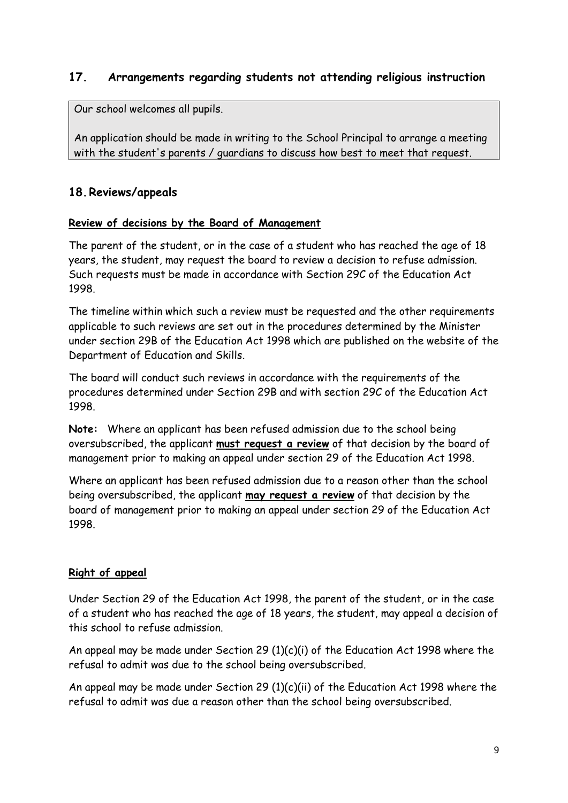# **17. Arrangements regarding students not attending religious instruction**

Our school welcomes all pupils.

An application should be made in writing to the School Principal to arrange a meeting with the student's parents / guardians to discuss how best to meet that request.

### <span id="page-8-0"></span>**18.Reviews/appeals**

#### **Review of decisions by the Board of Management**

The parent of the student, or in the case of a student who has reached the age of 18 years, the student, may request the board to review a decision to refuse admission. Such requests must be made in accordance with Section 29C of the Education Act 1998.

The timeline within which such a review must be requested and the other requirements applicable to such reviews are set out in the procedures determined by the Minister under section 29B of the Education Act 1998 which are published on the website of the Department of Education and Skills.

The board will conduct such reviews in accordance with the requirements of the procedures determined under Section 29B and with section 29C of the Education Act 1998.

**Note:** Where an applicant has been refused admission due to the school being oversubscribed, the applicant **must request a review** of that decision by the board of management prior to making an appeal under section 29 of the Education Act 1998.

Where an applicant has been refused admission due to a reason other than the school being oversubscribed, the applicant **may request a review** of that decision by the board of management prior to making an appeal under section 29 of the Education Act 1998.

#### **Right of appeal**

Under Section 29 of the Education Act 1998, the parent of the student, or in the case of a student who has reached the age of 18 years, the student, may appeal a decision of this school to refuse admission.

An appeal may be made under Section 29 (1)(c)(i) of the Education Act 1998 where the refusal to admit was due to the school being oversubscribed.

An appeal may be made under Section 29 (1)(c)(ii) of the Education Act 1998 where the refusal to admit was due a reason other than the school being oversubscribed.